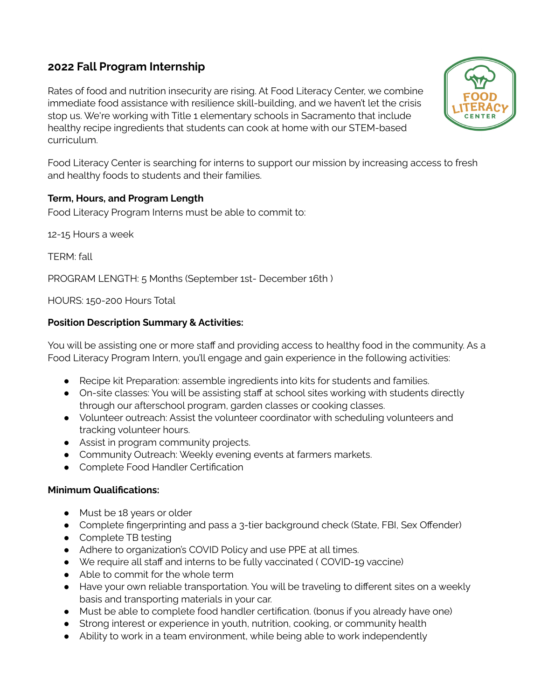## **2022 Fall Program Internship**

Rates of food and nutrition insecurity are rising. At Food Literacy Center, we combine immediate food assistance with resilience skill-building, and we haven't let the crisis stop us. We're working with Title 1 elementary schools in Sacramento that include healthy recipe ingredients that students can cook at home with our STEM-based curriculum.



Food Literacy Center is searching for interns to support our mission by increasing access to fresh and healthy foods to students and their families.

#### **Term, Hours, and Program Length**

Food Literacy Program Interns must be able to commit to:

12-15 Hours a week

TERM: fall

PROGRAM LENGTH: 5 Months (September 1st- December 16th )

HOURS: 150-200 Hours Total

#### **Position Description Summary & Activities:**

You will be assisting one or more staff and providing access to healthy food in the community. As a Food Literacy Program Intern, you'll engage and gain experience in the following activities:

- Recipe kit Preparation: assemble ingredients into kits for students and families.
- On-site classes: You will be assisting staff at school sites working with students directly through our afterschool program, garden classes or cooking classes.
- Volunteer outreach: Assist the volunteer coordinator with scheduling volunteers and tracking volunteer hours.
- Assist in program community projects.
- Community Outreach: Weekly evening events at farmers markets.
- Complete Food Handler Certification

#### **Minimum Qualifications:**

- Must be 18 years or older
- Complete fingerprinting and pass a 3-tier background check (State, FBI, Sex Offender)
- Complete TB testing
- Adhere to organization's COVID Policy and use PPE at all times.
- We require all staff and interns to be fully vaccinated ( COVID-19 vaccine)
- Able to commit for the whole term
- Have your own reliable transportation. You will be traveling to different sites on a weekly basis and transporting materials in your car.
- Must be able to complete food handler certification. (bonus if you already have one)
- Strong interest or experience in youth, nutrition, cooking, or community health
- Ability to work in a team environment, while being able to work independently